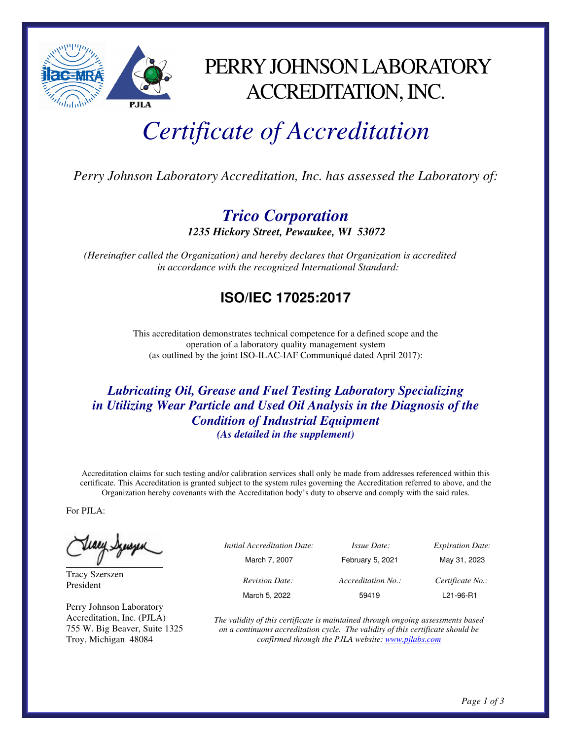

# PERRY JOHNSON LABORATORY ACCREDITATION, INC.

# *Certificate of Accreditation*

*Perry Johnson Laboratory Accreditation, Inc. has assessed the Laboratory of:* 

## *Trico Corporation 1235 Hickory Street, Pewaukee, WI 53072*

 *(Hereinafter called the Organization) and hereby declares that Organization is accredited in accordance with the recognized International Standard:* 

# **ISO/IEC 17025:2017**

This accreditation demonstrates technical competence for a defined scope and the operation of a laboratory quality management system (as outlined by the joint ISO-ILAC-IAF Communiqué dated April 2017):

#### *Lubricating Oil, Grease and Fuel Testing Laboratory Specializing in Utilizing Wear Particle and Used Oil Analysis in the Diagnosis of the Condition of Industrial Equipment (As detailed in the supplement)*

Accreditation claims for such testing and/or calibration services shall only be made from addresses referenced within this certificate. This Accreditation is granted subject to the system rules governing the Accreditation referred to above, and the Organization hereby covenants with the Accreditation body's duty to observe and comply with the said rules.

For PJLA:

(www.francje

Tracy Szerszen President

Perry Johnson Laboratory Accreditation, Inc. (PJLA) 755 W. Big Beaver, Suite 1325 Troy, Michigan 48084

 *Initial Accreditation Date: Issue Date: Expiration Date:*  March 7, 2007 February 5, 2021 May 31, 2023 *Revision Date: Accreditation No.: Certificate No.:*  March 5, 2022 59419 L21-96-R1

*The validity of this certificate is maintained through ongoing assessments based on a continuous accreditation cycle. The validity of this certificate should be confirmed through the PJLA website: www.pjlabs.com*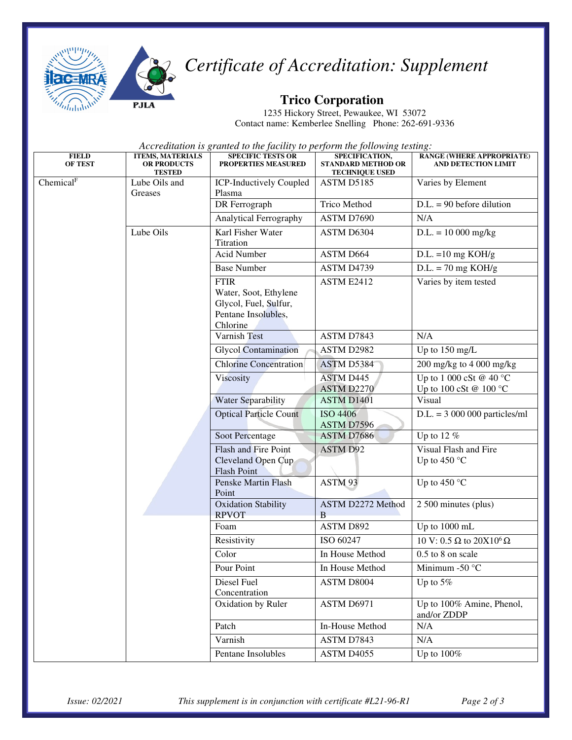

# *Certificate of Accreditation: Supplement*

## **Trico Corporation**

1235 Hickory Street, Pewaukee, WI 53072 Contact name: Kemberlee Snelling Phone: 262-691-9336

*Accreditation is granted to the facility to perform the following testing:*

| <b>FIELD</b><br><b>OF TEST</b> | <b>ITEMS, MATERIALS</b><br><b>OR PRODUCTS</b><br><b>TESTED</b> | <b>SPECIFIC TESTS OR</b><br><b>PROPERTIES MEASURED</b>                                           | SPECIFICATION,<br><b>STANDARD METHOD OR</b><br><b>TECHNIQUE USED</b> | RANGE (WHERE APPROPRIATE)<br><b>AND DETECTION LIMIT</b>     |
|--------------------------------|----------------------------------------------------------------|--------------------------------------------------------------------------------------------------|----------------------------------------------------------------------|-------------------------------------------------------------|
| Chemical <sup>F</sup>          | Lube Oils and<br>Greases                                       | <b>ICP-Inductively Coupled</b><br>Plasma                                                         | ASTM D5185                                                           | Varies by Element                                           |
|                                |                                                                | DR Ferrograph                                                                                    | <b>Trico Method</b>                                                  | $D.L. = 90$ before dilution                                 |
|                                |                                                                | <b>Analytical Ferrography</b>                                                                    | ASTM D7690                                                           | N/A                                                         |
|                                | Lube Oils                                                      | Karl Fisher Water<br>Titration                                                                   | ASTM D6304                                                           | $D.L. = 10000$ mg/kg                                        |
|                                |                                                                | <b>Acid Number</b>                                                                               | ASTM D664                                                            | $D.L. = 10$ mg KOH/g                                        |
|                                |                                                                | <b>Base Number</b>                                                                               | ASTM D4739                                                           | $D.L. = 70$ mg KOH/g                                        |
|                                |                                                                | <b>FTIR</b><br>Water, Soot, Ethylene<br>Glycol, Fuel, Sulfur,<br>Pentane Insolubles,<br>Chlorine | ASTM E2412                                                           | Varies by item tested                                       |
|                                |                                                                | <b>Varnish Test</b>                                                                              | ASTM D7843                                                           | N/A                                                         |
|                                |                                                                | <b>Glycol Contamination</b>                                                                      | ASTM D2982                                                           | Up to 150 mg/L                                              |
|                                |                                                                | <b>Chlorine Concentration</b>                                                                    | ASTM D5384                                                           | 200 mg/kg to 4 000 mg/kg                                    |
|                                |                                                                | Viscosity                                                                                        | <b>ASTM D445</b><br>ASTM D2270                                       | Up to 1 000 cSt @ 40 $^{\circ}$ C<br>Up to 100 cSt @ 100 °C |
|                                |                                                                | Water Separability                                                                               | <b>ASTM D1401</b>                                                    | Visual                                                      |
|                                |                                                                | <b>Optical Particle Count</b>                                                                    | <b>ISO 4406</b><br>ASTM D7596                                        | $D.L. = 3000000$ particles/ml                               |
|                                |                                                                | Soot Percentage                                                                                  | ASTM D7686                                                           | Up to 12 $%$                                                |
|                                |                                                                | Flash and Fire Point<br>Cleveland Open Cup<br><b>Flash Point</b>                                 | <b>ASTM D92</b>                                                      | Visual Flash and Fire<br>Up to 450 $^{\circ}$ C             |
|                                |                                                                | Penske Martin Flash<br>Point                                                                     | ASTM 93                                                              | Up to 450 $^{\circ}$ C                                      |
|                                |                                                                | <b>Oxidation Stability</b><br><b>RPVOT</b>                                                       | ASTM D2272 Method<br>B                                               | 2 500 minutes (plus)                                        |
|                                |                                                                | Foam                                                                                             | <b>ASTM D892</b>                                                     | Up to 1000 mL                                               |
|                                |                                                                | Resistivity                                                                                      | ISO 60247                                                            | 10 V: 0.5 $\Omega$ to 20X10 <sup>6</sup> $\Omega$           |
|                                |                                                                | Color                                                                                            | In House Method                                                      | 0.5 to 8 on scale                                           |
|                                |                                                                | Pour Point                                                                                       | In House Method                                                      | Minimum -50 $\degree$ C                                     |
|                                |                                                                | Diesel Fuel<br>Concentration                                                                     | ASTM D8004                                                           | Up to $5\%$                                                 |
|                                |                                                                | Oxidation by Ruler                                                                               | ASTM D6971                                                           | Up to 100% Amine, Phenol,<br>and/or ZDDP                    |
|                                |                                                                | Patch                                                                                            | In-House Method                                                      | N/A                                                         |
|                                |                                                                | Varnish                                                                                          | ASTM D7843                                                           | N/A                                                         |
|                                |                                                                | Pentane Insolubles                                                                               | ASTM D4055                                                           | Up to $100\%$                                               |

*Issue: 02/2021 This supplement is in conjunction with certificate #L21-96-R1 Page 2 of 3*